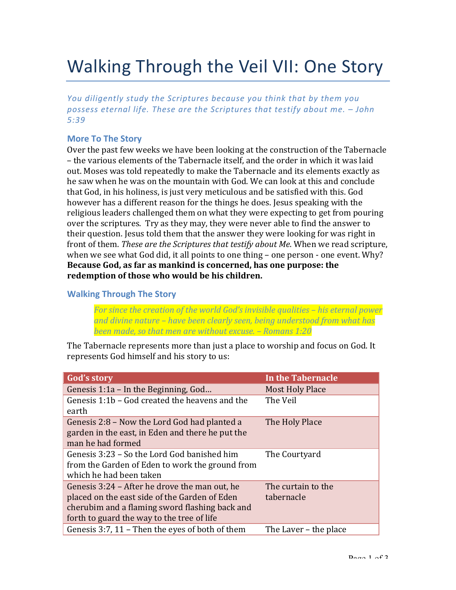# Walking Through the Veil VII: One Story

*You diligently study the Scriptures because you think that by them you* possess eternal life. These are the Scriptures that testify about me.  $-$  John *5:39*

### **More To The Story**

Over the past few weeks we have been looking at the construction of the Tabernacle – the various elements of the Tabernacle itself, and the order in which it was laid out. Moses was told repeatedly to make the Tabernacle and its elements exactly as he saw when he was on the mountain with God. We can look at this and conclude that God, in his holiness, is just very meticulous and be satisfied with this. God however has a different reason for the things he does. Jesus speaking with the religious leaders challenged them on what they were expecting to get from pouring over the scriptures. Try as they may, they were never able to find the answer to their question. Jesus told them that the answer they were looking for was right in front of them. *These are the Scriptures that testify about Me*. When we read scripture, when we see what God did, it all points to one thing  $-$  one person  $\cdot$  one event. Why? **Because God, as far as mankind is concerned, has one purpose: the** redemption of those who would be his children.

#### **Walking Through The Story**

For since the creation of the world God's invisible qualities – his eternal power and divine nature – have been clearly seen, being understood from what has *been made, so that men are without excuse.* – *Romans* 1:20

The Tabernacle represents more than just a place to worship and focus on God. It represents God himself and his story to us:

| <b>God's story</b>                                                                                                                                                                             | <b>In the Tabernacle</b>         |
|------------------------------------------------------------------------------------------------------------------------------------------------------------------------------------------------|----------------------------------|
| Genesis 1:1a - In the Beginning, God                                                                                                                                                           | <b>Most Holy Place</b>           |
| Genesis 1:1b - God created the heavens and the<br>earth                                                                                                                                        | The Veil                         |
| Genesis 2:8 – Now the Lord God had planted a<br>garden in the east, in Eden and there he put the<br>man he had formed                                                                          | The Holy Place                   |
| Genesis 3:23 – So the Lord God banished him<br>from the Garden of Eden to work the ground from<br>which he had been taken                                                                      | The Courtyard                    |
| Genesis 3:24 – After he drove the man out, he<br>placed on the east side of the Garden of Eden<br>cherubim and a flaming sword flashing back and<br>forth to guard the way to the tree of life | The curtain to the<br>tabernacle |
| Genesis 3:7, 11 – Then the eyes of both of them                                                                                                                                                | The Laver - the place            |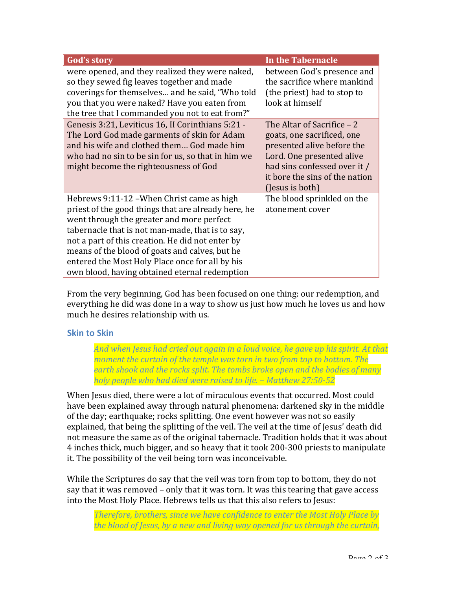| <b>God's story</b>                                                                                                                                                                                                                                                                                                                                                                                           | <b>In the Tabernacle</b>                                                                                                                                                                                 |
|--------------------------------------------------------------------------------------------------------------------------------------------------------------------------------------------------------------------------------------------------------------------------------------------------------------------------------------------------------------------------------------------------------------|----------------------------------------------------------------------------------------------------------------------------------------------------------------------------------------------------------|
| were opened, and they realized they were naked,<br>so they sewed fig leaves together and made<br>coverings for themselves and he said, "Who told<br>you that you were naked? Have you eaten from<br>the tree that I commanded you not to eat from?"                                                                                                                                                          | between God's presence and<br>the sacrifice where mankind<br>(the priest) had to stop to<br>look at himself                                                                                              |
| Genesis 3:21, Leviticus 16, II Corinthians 5:21 -<br>The Lord God made garments of skin for Adam<br>and his wife and clothed them God made him<br>who had no sin to be sin for us, so that in him we<br>might become the righteousness of God                                                                                                                                                                | The Altar of Sacrifice - 2<br>goats, one sacrificed, one<br>presented alive before the<br>Lord. One presented alive<br>had sins confessed over it /<br>it bore the sins of the nation<br>(Jesus is both) |
| Hebrews 9:11-12 – When Christ came as high<br>priest of the good things that are already here, he<br>went through the greater and more perfect<br>tabernacle that is not man-made, that is to say,<br>not a part of this creation. He did not enter by<br>means of the blood of goats and calves, but he<br>entered the Most Holy Place once for all by his<br>own blood, having obtained eternal redemption | The blood sprinkled on the<br>atonement cover                                                                                                                                                            |

From the very beginning, God has been focused on one thing: our redemption, and everything he did was done in a way to show us just how much he loves us and how much he desires relationship with us.

## **Skin to Skin**

And when Jesus had cried out again in a loud voice, he gave up his spirit. At that *moment the curtain of the temple was torn in two from top to bottom. The earth shook and the rocks split. The tombs broke open and the bodies of many holy people who had died were raised to life. – Matthew 27:50-52*

When Jesus died, there were a lot of miraculous events that occurred. Most could have been explained away through natural phenomena: darkened sky in the middle of the day; earthquake; rocks splitting. One event however was not so easily explained, that being the splitting of the veil. The veil at the time of Jesus' death did not measure the same as of the original tabernacle. Tradition holds that it was about 4 inches thick, much bigger, and so heavy that it took 200-300 priests to manipulate it. The possibility of the veil being torn was inconceivable.

While the Scriptures do say that the veil was torn from top to bottom, they do not say that it was removed – only that it was torn. It was this tearing that gave access into the Most Holy Place. Hebrews tells us that this also refers to Jesus:

*Therefore, brothers, since we have confidence to enter the Most Holy Place by the blood of Jesus, by a new and living way opened for us through the curtain,*